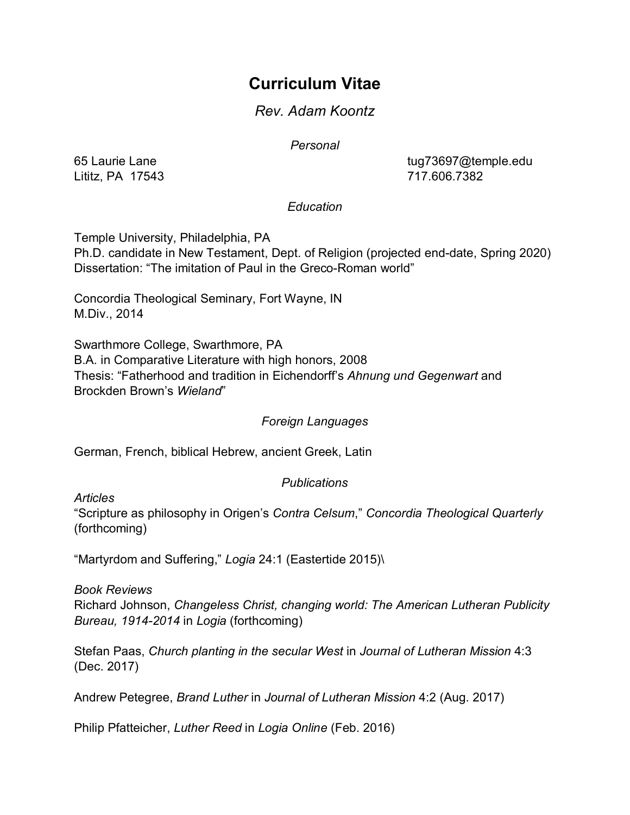# **Curriculum Vitae**

# *Rev. Adam Koontz*

*Personal*

Lititz, PA 17543 717.606.7382

65 Laurie Lane tug73697@temple.edu

## *Education*

Temple University, Philadelphia, PA

Ph.D. candidate in New Testament, Dept. of Religion (projected end-date, Spring 2020) Dissertation: "The imitation of Paul in the Greco-Roman world"

Concordia Theological Seminary, Fort Wayne, IN M.Div., 2014

Swarthmore College, Swarthmore, PA

B.A. in Comparative Literature with high honors, 2008 Thesis: "Fatherhood and tradition in Eichendorff's *Ahnung und Gegenwart* and Brockden Brown's *Wieland*"

## *Foreign Languages*

German, French, biblical Hebrew, ancient Greek, Latin

## *Publications*

*Articles*

"Scripture as philosophy in Origen's *Contra Celsum*," *Concordia Theological Quarterly*  (forthcoming)

"Martyrdom and Suffering," *Logia* 24:1 (Eastertide 2015)\

*Book Reviews*

Richard Johnson, *Changeless Christ, changing world: The American Lutheran Publicity Bureau, 1914-2014* in *Logia* (forthcoming)

Stefan Paas, *Church planting in the secular West* in *Journal of Lutheran Mission* 4:3 (Dec. 2017)

Andrew Petegree, *Brand Luther* in *Journal of Lutheran Mission* 4:2 (Aug. 2017)

Philip Pfatteicher, *Luther Reed* in *Logia Online* (Feb. 2016)